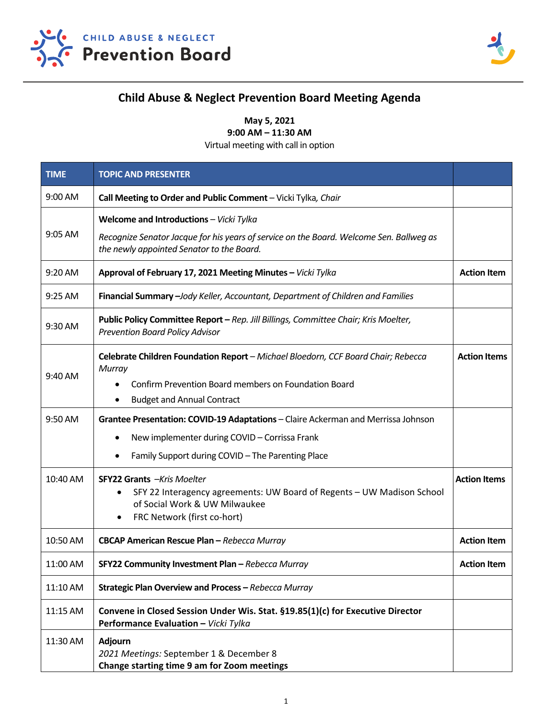



## **Child Abuse & Neglect Prevention Board Meeting Agenda**

**May 5, 2021** 

**9:00 AM – 11:30 AM** 

Virtual meeting with call in option

| <b>TIME</b> | <b>TOPIC AND PRESENTER</b>                                                                                                                                                                                         |                     |
|-------------|--------------------------------------------------------------------------------------------------------------------------------------------------------------------------------------------------------------------|---------------------|
| 9:00 AM     | Call Meeting to Order and Public Comment - Vicki Tylka, Chair                                                                                                                                                      |                     |
| 9:05 AM     | Welcome and Introductions - Vicki Tylka<br>Recognize Senator Jacque for his years of service on the Board. Welcome Sen. Ballweg as<br>the newly appointed Senator to the Board.                                    |                     |
| 9:20 AM     | Approval of February 17, 2021 Meeting Minutes - Vicki Tylka                                                                                                                                                        | <b>Action Item</b>  |
| 9:25 AM     | Financial Summary - Jody Keller, Accountant, Department of Children and Families                                                                                                                                   |                     |
| 9:30 AM     | Public Policy Committee Report - Rep. Jill Billings, Committee Chair; Kris Moelter,<br><b>Prevention Board Policy Advisor</b>                                                                                      |                     |
| 9:40 AM     | Celebrate Children Foundation Report - Michael Bloedorn, CCF Board Chair; Rebecca<br>Murray<br>Confirm Prevention Board members on Foundation Board<br>$\bullet$<br><b>Budget and Annual Contract</b><br>$\bullet$ | <b>Action Items</b> |
| 9:50 AM     | Grantee Presentation: COVID-19 Adaptations - Claire Ackerman and Merrissa Johnson<br>New implementer during COVID - Corrissa Frank<br>$\bullet$                                                                    |                     |
|             | Family Support during COVID - The Parenting Place                                                                                                                                                                  |                     |
| 10:40 AM    | <b>SFY22 Grants</b> - Kris Moelter<br>SFY 22 Interagency agreements: UW Board of Regents - UW Madison School<br>٠<br>of Social Work & UW Milwaukee<br>FRC Network (first co-hort)<br>٠                             | <b>Action Items</b> |
| 10:50 AM    | CBCAP American Rescue Plan - Rebecca Murray                                                                                                                                                                        | <b>Action Item</b>  |
| 11:00 AM    | SFY22 Community Investment Plan - Rebecca Murray                                                                                                                                                                   | <b>Action Item</b>  |
| 11:10 AM    | Strategic Plan Overview and Process - Rebecca Murray                                                                                                                                                               |                     |
| 11:15 AM    | Convene in Closed Session Under Wis. Stat. §19.85(1)(c) for Executive Director<br>Performance Evaluation - Vicki Tylka                                                                                             |                     |
| 11:30 AM    | Adjourn<br>2021 Meetings: September 1 & December 8<br>Change starting time 9 am for Zoom meetings                                                                                                                  |                     |